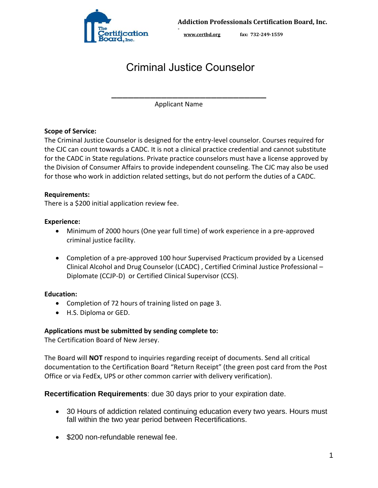

# Criminal Justice Counselor

\_\_\_\_\_\_\_\_\_\_\_\_\_\_\_\_\_\_\_\_\_\_\_\_\_\_\_\_

Applicant Name

**-** 

### **Scope of Service:**

The Criminal Justice Counselor is designed for the entry-level counselor. Courses required for the CJC can count towards a CADC. It is not a clinical practice credential and cannot substitute for the CADC in State regulations. Private practice counselors must have a license approved by the Division of Consumer Affairs to provide independent counseling. The CJC may also be used for those who work in addiction related settings, but do not perform the duties of a CADC.

### **Requirements:**

There is a \$200 initial application review fee.

### **Experience:**

- Minimum of 2000 hours (One year full time) of work experience in a pre-approved criminal justice facility.
- Completion of a pre-approved 100 hour Supervised Practicum provided by a Licensed Clinical Alcohol and Drug Counselor (LCADC) , Certified Criminal Justice Professional – Diplomate (CCJP-D) or Certified Clinical Supervisor (CCS).

### **Education:**

- Completion of 72 hours of training listed on page 3.
- H.S. Diploma or GED.

### **Applications must be submitted by sending complete to:**

The Certification Board of New Jersey.

The Board will **NOT** respond to inquiries regarding receipt of documents. Send all critical documentation to the Certification Board "Return Receipt" (the green post card from the Post Office or via FedEx, UPS or other common carrier with delivery verification).

**Recertification Requirements**: due 30 days prior to your expiration date.

- 30 Hours of addiction related continuing education every two years. Hours must fall within the two year period between Recertifications.
- \$200 non-refundable renewal fee.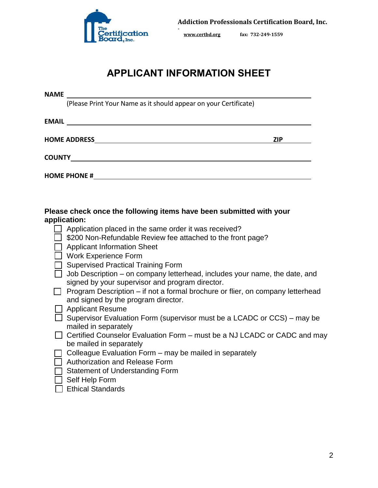

# **APPLICANT INFORMATION SHEET**

**NAME** 

(Please Print Your Name as it should appear on your Certificate)

| <b>EMAIL</b>        |            |
|---------------------|------------|
| <b>HOME ADDRESS</b> | <b>ZIP</b> |
| <b>COUNTY</b>       |            |
| <b>HOME PHONE #</b> |            |

### **Please check once the following items have been submitted with your application:**

- $\Box$  Application placed in the same order it was received?
- $\Box$  \$200 Non-Refundable Review fee attached to the front page?
- □ Applicant Information Sheet
- □ Work Experience Form
- $\Box$  Supervised Practical Training Form
- $\Box$  Job Description on company letterhead, includes your name, the date, and signed by your supervisor and program director.
- $\Box$  Program Description if not a formal brochure or flier, on company letterhead and signed by the program director.
- □ Applicant Resume
- $\Box$  Supervisor Evaluation Form (supervisor must be a LCADC or CCS) may be mailed in separately
- $\Box$  Certified Counselor Evaluation Form must be a NJ LCADC or CADC and may be mailed in separately
- $\Box$  Colleague Evaluation Form may be mailed in separately
- □ Authorization and Release Form
- $\Box$  Statement of Understanding Form
- $\Box$  Self Help Form
- $\Box$  Ethical Standards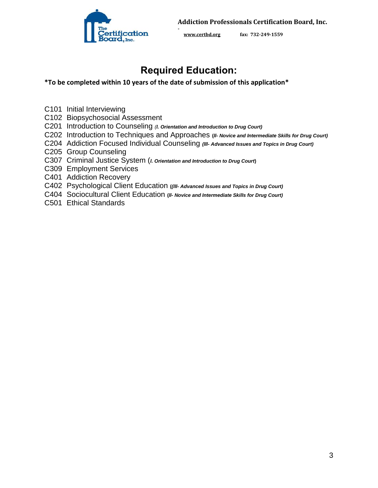

**[www.certbd.org](http://www.certbd.org/) fax: 732-249-1559** 

# **Required Education:**

**-** 

### **\*To be completed within 10 years of the date of submission of this application\***

- C101 Initial Interviewing
- C102 Biopsychosocial Assessment
- C201 Introduction to Counseling *(l. Orientation and Introduction to Drug Court)*
- C202 Introduction to Techniques and Approaches **(***ll- Novice and Intermediate Skills for Drug Court)*
- C204 Addiction Focused Individual Counseling *(lll- Advanced Issues and Topics in Drug Court)*
- C205 Group Counseling
- C307 Criminal Justice System (*l. Orientation and Introduction to Drug Court***)**
- C309 Employment Services
- C401 Addiction Recovery
- C402 Psychological Client Education **(***(lll- Advanced Issues and Topics in Drug Court)*
- C404 Sociocultural Client Education **(***ll- Novice and Intermediate Skills for Drug Court)*
- C501 Ethical Standards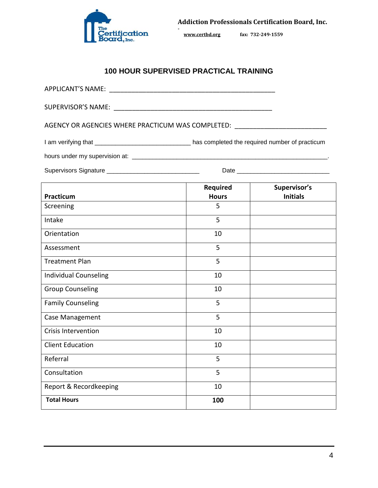

### **100 HOUR SUPERVISED PRACTICAL TRAINING**

**-** 

| AGENCY OR AGENCIES WHERE PRACTICUM WAS COMPLETED: ______________________________                    |                          |                                 |
|-----------------------------------------------------------------------------------------------------|--------------------------|---------------------------------|
| I am verifying that ________________________________ has completed the required number of practicum |                          |                                 |
|                                                                                                     |                          |                                 |
|                                                                                                     |                          |                                 |
| Practicum                                                                                           | Required<br><b>Hours</b> | Supervisor's<br><b>Initials</b> |
| Screening                                                                                           | 5 <sup>1</sup>           |                                 |
| Intake                                                                                              | 5                        |                                 |
| Orientation                                                                                         | 10                       |                                 |
| Assessment                                                                                          | 5                        |                                 |
| <b>Treatment Plan</b>                                                                               | 5                        |                                 |
| <b>Individual Counseling</b>                                                                        | 10                       |                                 |
| <b>Group Counseling</b>                                                                             | 10                       |                                 |
| <b>Family Counseling</b>                                                                            | 5                        |                                 |
| Case Management                                                                                     | 5                        |                                 |
| <b>Crisis Intervention</b>                                                                          | 10                       |                                 |
| <b>Client Education</b>                                                                             | 10                       |                                 |
| Referral                                                                                            | 5.                       |                                 |
| Consultation                                                                                        | 5                        |                                 |
| Report & Recordkeeping                                                                              | 10                       |                                 |
| <b>Total Hours</b>                                                                                  | 100                      |                                 |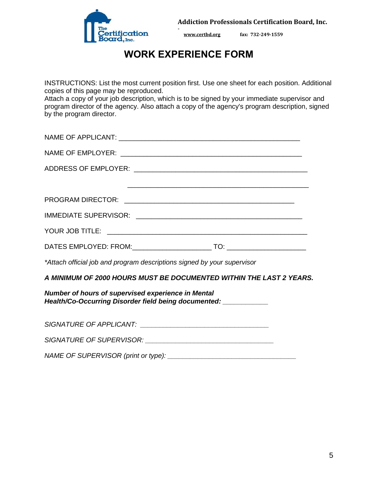

## **WORK EXPERIENCE FORM**

**-** 

INSTRUCTIONS: List the most current position first. Use one sheet for each position. Additional copies of this page may be reproduced.

Attach a copy of your job description, which is to be signed by your immediate supervisor and program director of the agency. Also attach a copy of the agency's program description, signed by the program director.

| NAME OF EMPLOYER: NAME OF EMPLOYER:                                                                                    |
|------------------------------------------------------------------------------------------------------------------------|
|                                                                                                                        |
|                                                                                                                        |
|                                                                                                                        |
|                                                                                                                        |
|                                                                                                                        |
|                                                                                                                        |
| *Attach official job and program descriptions signed by your supervisor                                                |
| A MINIMUM OF 2000 HOURS MUST BE DOCUMENTED WITHIN THE LAST 2 YEARS.                                                    |
| Number of hours of supervised experience in Mental<br>Health/Co-Occurring Disorder field being documented: ___________ |
|                                                                                                                        |
| SIGNATURE OF SUPERVISOR: NAMEL AND RESIDENCE OF SUPERVISOR:                                                            |

*NAME OF SUPERVISOR (print or type): \_\_\_\_\_\_\_\_\_\_\_\_\_\_\_\_\_\_\_\_\_\_\_\_\_\_\_\_\_\_\_\_\_\_*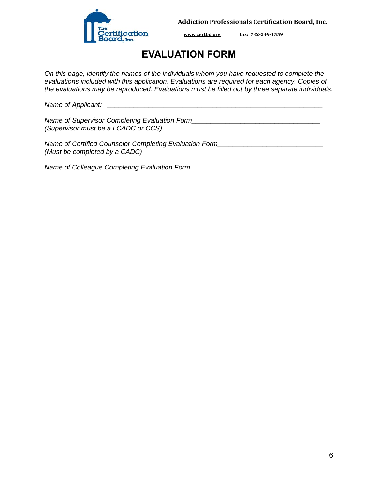

**[www.certbd.org](http://www.certbd.org/) fax: 732-249-1559** 

## **EVALUATION FORM**

**-** 

*On this page, identify the names of the individuals whom you have requested to complete the evaluations included with this application. Evaluations are required for each agency. Copies of the evaluations may be reproduced. Evaluations must be filled out by three separate individuals.* 

*Name of Applicant: \_\_\_\_\_\_\_\_\_\_\_\_\_\_\_\_\_\_\_\_\_\_\_\_\_\_\_\_\_\_\_\_\_\_\_\_\_\_\_\_\_\_\_\_\_\_\_\_\_\_\_\_\_\_\_\_\_* 

*Name of Supervisor Completing Evaluation Form\_\_\_\_\_\_\_\_\_\_\_\_\_\_\_\_\_\_\_\_\_\_\_\_\_\_\_\_\_\_\_\_\_\_ (Supervisor must be a LCADC or CCS)* 

*Name of Certified Counselor Completing Evaluation Form\_\_\_\_\_\_\_\_\_\_\_\_\_\_\_\_\_\_\_\_\_\_\_\_\_\_\_\_ (Must be completed by a CADC)* 

*Name of Colleague Completing Evaluation Form*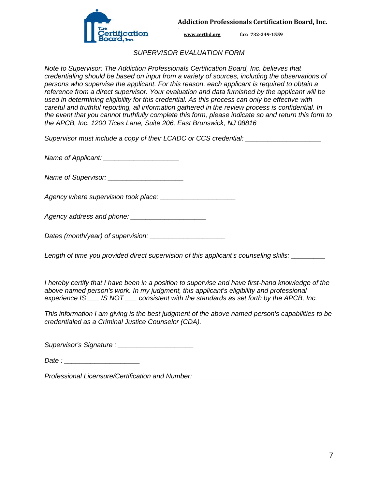

**[www.certbd.org](http://www.certbd.org/) fax: 732-249-1559** 

#### *SUPERVISOR EVALUATION FORM*

**-** 

*Note to Supervisor: The Addiction Professionals Certification Board, Inc. believes that credentialing should be based on input from a variety of sources, including the observations of persons who supervise the applicant. For this reason, each applicant is required to obtain a reference from a direct supervisor. Your evaluation and data furnished by the applicant will be used in determining eligibility for this credential. As this process can only be effective with careful and truthful reporting, all information gathered in the review process is confidential. In the event that you cannot truthfully complete this form, please indicate so and return this form to the APCB, Inc. 1200 Tices Lane, Suite 206, East Brunswick, NJ 08816* 

*Supervisor must include a copy of their LCADC or CCS credential: \_\_\_\_\_\_\_\_\_\_\_\_\_\_\_\_\_\_\_\_*

*Name of Applicant: \_\_\_\_\_\_\_\_\_\_\_\_\_\_\_\_\_\_\_\_* 

*Name of Supervisor:*  $\blacksquare$ 

Agency where supervision took place:

*Agency address and phone: \_\_\_\_\_\_\_\_\_\_\_\_\_\_\_\_\_\_\_\_* 

*Dates (month/year) of supervision: \_\_\_\_\_\_\_\_\_\_\_\_\_\_\_\_\_\_\_\_* 

*Length of time you provided direct supervision of this applicant's counseling skills: \_\_\_\_\_\_\_\_\_* 

*I hereby certify that I have been in a position to supervise and have first-hand knowledge of the above named person's work. In my judgment, this applicant's eligibility and professional experience IS \_\_\_ IS NOT \_\_\_ consistent with the standards as set forth by the APCB, Inc.* 

*This information I am giving is the best judgment of the above named person's capabilities to be credentialed as a Criminal Justice Counselor (CDA).* 

*Supervisor's Signature : \_\_\_\_\_\_\_\_\_\_\_\_\_\_\_\_\_\_\_\_* 

*Date : \_\_\_\_\_\_\_\_\_\_\_\_\_\_\_\_\_\_\_\_* 

*Professional Licensure/Certification and Number:*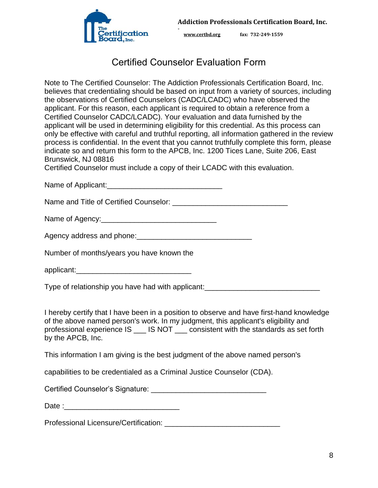

**[www.certbd.org](http://www.certbd.org/) fax: 732-249-1559** 

## Certified Counselor Evaluation Form

**-** 

Note to The Certified Counselor: The Addiction Professionals Certification Board, Inc. believes that credentialing should be based on input from a variety of sources, including the observations of Certified Counselors (CADC/LCADC) who have observed the applicant. For this reason, each applicant is required to obtain a reference from a Certified Counselor CADC/LCADC). Your evaluation and data furnished by the applicant will be used in determining eligibility for this credential. As this process can only be effective with careful and truthful reporting, all information gathered in the review process is confidential. In the event that you cannot truthfully complete this form, please indicate so and return this form to the APCB, Inc. 1200 Tices Lane, Suite 206, East Brunswick, NJ 08816

Certified Counselor must include a copy of their LCADC with this evaluation.

Name of Applicant: Name of Applicant:

Name and Title of Certified Counselor:  $\blacksquare$ 

Name of Agency:

Agency address and phone:\_\_\_\_\_\_\_\_\_\_\_\_\_\_\_\_\_\_\_\_\_\_\_\_\_\_\_\_

Number of months/years you have known the

applicant:\_\_\_\_\_\_\_\_\_\_\_\_\_\_\_\_\_\_\_\_\_\_\_\_\_\_\_\_

Type of relationship you have had with applicant:

I hereby certify that I have been in a position to observe and have first-hand knowledge of the above named person's work. In my judgment, this applicant's eligibility and professional experience IS \_\_\_ IS NOT \_\_\_ consistent with the standards as set forth by the APCB, Inc.

This information I am giving is the best judgment of the above named person's

capabilities to be credentialed as a Criminal Justice Counselor (CDA).

Certified Counselor's Signature: \_\_\_\_\_\_\_\_\_\_\_\_\_\_\_\_\_\_\_\_\_\_\_\_\_\_\_\_

Date :

Professional Licensure/Certification: **Example 2018**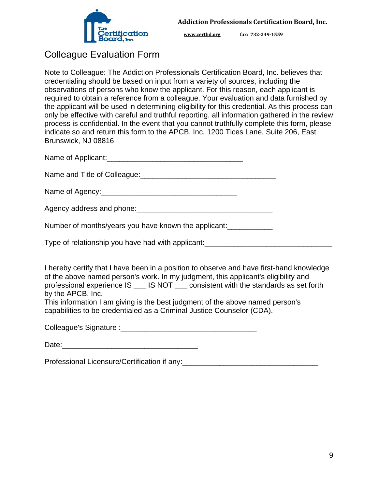

## Colleague Evaluation Form

Note to Colleague: The Addiction Professionals Certification Board, Inc. believes that credentialing should be based on input from a variety of sources, including the observations of persons who know the applicant. For this reason, each applicant is required to obtain a reference from a colleague. Your evaluation and data furnished by the applicant will be used in determining eligibility for this credential. As this process can only be effective with careful and truthful reporting, all information gathered in the review process is confidential. In the event that you cannot truthfully complete this form, please indicate so and return this form to the APCB, Inc. 1200 Tices Lane, Suite 206, East Brunswick, NJ 08816

**-** 

Name of Applicant:\_\_\_\_\_\_\_\_\_\_\_\_\_\_\_\_\_\_\_\_\_\_\_\_\_\_\_\_\_\_\_\_\_

Name and Title of Colleague:<br>
<br>  $\blacksquare$ 

Name of Agency:\_\_\_\_\_\_\_\_\_\_\_\_\_\_\_\_\_\_\_\_\_\_\_\_\_\_\_\_\_\_\_\_\_

Agency address and phone: Manual Manual Manual Manual Manual Manual Manual Manual Manual Manual Manual Manual

Number of months/years you have known the applicant:

Type of relationship you have had with applicant:

I hereby certify that I have been in a position to observe and have first-hand knowledge of the above named person's work. In my judgment, this applicant's eligibility and professional experience IS \_\_\_ IS NOT \_\_\_ consistent with the standards as set forth by the APCB, Inc.

This information I am giving is the best judgment of the above named person's capabilities to be credentialed as a Criminal Justice Counselor (CDA).

Colleague's Signature :\_\_\_\_\_\_\_\_\_\_\_\_\_\_\_\_\_\_\_\_\_\_\_\_\_\_\_\_\_\_\_\_\_

| Date: |
|-------|
|-------|

Professional Licensure/Certification if any: \_\_\_\_\_\_\_\_\_\_\_\_\_\_\_\_\_\_\_\_\_\_\_\_\_\_\_\_\_\_\_\_\_\_\_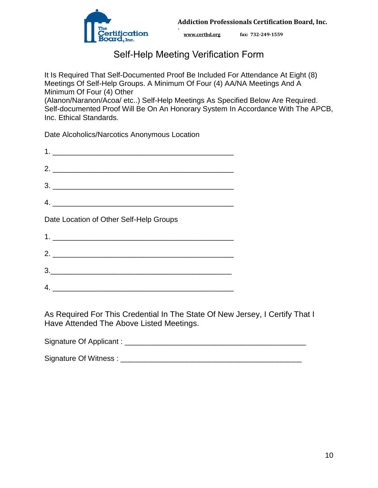

## Self-Help Meeting Verification Form

**-** 

It Is Required That Self-Documented Proof Be Included For Attendance At Eight (8) Meetings Of Self-Help Groups. A Minimum Of Four (4) AA/NA Meetings And A Minimum Of Four (4) Other (Alanon/Naranon/Acoa/ etc..) Self-Help Meetings As Specified Below Are Required. Self-documented Proof Will Be On An Honorary System In Accordance With The APCB, Inc. Ethical Standards.

Date Alcoholics/Narcotics Anonymous Location

| 2. $\overline{\phantom{a}}$                                                                                      |
|------------------------------------------------------------------------------------------------------------------|
| $\begin{array}{c c c c c} \hline \rule{0pt}{2ex} & \rule{0pt}{2ex} \multicolumn{2}{c }{\textbf{3.}} \end{array}$ |
| $\mathcal{A}$ .                                                                                                  |
| Date Location of Other Self-Help Groups                                                                          |
| $1. \_$                                                                                                          |
| $2.$ $\overline{\phantom{a}}$                                                                                    |
| <u> 1989 - Johann Stoff, amerikansk politiker (d. 1989)</u>                                                      |
|                                                                                                                  |

As Required For This Credential In The State Of New Jersey, I Certify That I Have Attended The Above Listed Meetings.

Signature Of Applicant : \_\_\_\_\_\_\_\_\_\_\_\_\_\_\_\_\_\_\_\_\_\_\_\_\_\_\_\_\_\_\_\_\_\_\_\_\_\_\_\_\_\_\_\_

Signature Of Witness : \_\_\_\_\_\_\_\_\_\_\_\_\_\_\_\_\_\_\_\_\_\_\_\_\_\_\_\_\_\_\_\_\_\_\_\_\_\_\_\_\_\_\_\_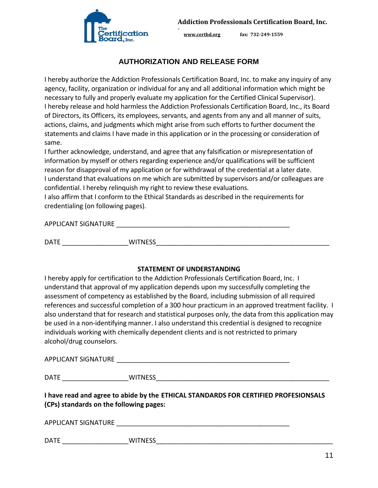

### **AUTHORIZATION AND RELEASE FORM**

**-** 

I hereby authorize the Addiction Professionals Certification Board, Inc. to make any inquiry of any agency, facility, organization or individual for any and all additional information which might be necessary to fully and properly evaluate my application for the Certified Clinical Supervisor). I hereby release and hold harmless the Addiction Professionals Certification Board, Inc., its Board of Directors, its Officers, its employees, servants, and agents from any and all manner of suits, actions, claims, and judgments which might arise from such efforts to further document the statements and claims I have made in this application or in the processing or consideration of same.

I further acknowledge, understand, and agree that any falsification or misrepresentation of information by myself or others regarding experience and/or qualifications will be sufficient reason for disapproval of my application or for withdrawal of the credential at a later date. I understand that evaluations on me which are submitted by supervisors and/or colleagues are confidential. I hereby relinquish my right to review these evaluations.

I also affirm that I conform to the Ethical Standards as described in the requirements for credentialing (on following pages).

APPLICANT SIGNATURE THE SERVICE OF THE SERVICE OF THE SERVICE OF THE SERVICE OF THE SERVICE OF THE SERVICE OF THE SERVICE OF THE SERVICE OF THE SERVICE OF THE SERVICE OF THE SERVICE OF THE SERVICE OF THE SERVICE OF THE SER

DATE \_\_\_\_\_\_\_\_\_\_\_\_\_\_\_\_\_\_WITNESS\_\_\_\_\_\_\_\_\_\_\_\_\_\_\_\_\_\_\_\_\_\_\_\_\_\_\_\_\_\_\_\_\_\_\_\_\_\_\_\_\_\_\_\_\_\_\_

#### **STATEMENT OF UNDERSTANDING**

I hereby apply for certification to the Addiction Professionals Certification Board, Inc. I understand that approval of my application depends upon my successfully completing the assessment of competency as established by the Board, including submission of all required references and successful completion of a 300 hour practicum in an approved treatment facility. I also understand that for research and statistical purposes only, the data from this application may be used in a non-identifying manner. I also understand this credential is designed to recognize individuals working with chemically dependent clients and is not restricted to primary alcohol/drug counselors.

APPLICANT SIGNATURE \_\_\_\_\_\_\_\_\_\_\_\_\_\_\_\_\_\_\_\_\_\_\_\_\_\_\_\_\_\_\_\_\_\_\_\_\_\_\_\_\_\_\_\_\_\_\_

DATE \_\_\_\_\_\_\_\_\_\_\_\_\_\_\_\_\_\_WITNESS\_\_\_\_\_\_\_\_\_\_\_\_\_\_\_\_\_\_\_\_\_\_\_\_\_\_\_\_\_\_\_\_\_\_\_\_\_\_\_\_\_\_\_\_\_\_\_

**I have read and agree to abide by the ETHICAL STANDARDS FOR CERTIFIED PROFESIONSALS (CPs) standards on the following pages:** 

APPLICANT SIGNATURE LETTER THAT A REPLICANT SIGNATURE

DATE \_\_\_\_\_\_\_\_\_\_\_\_\_\_\_\_\_\_WITNESS\_\_\_\_\_\_\_\_\_\_\_\_\_\_\_\_\_\_\_\_\_\_\_\_\_\_\_\_\_\_\_\_\_\_\_\_\_\_\_\_\_\_\_\_\_\_\_\_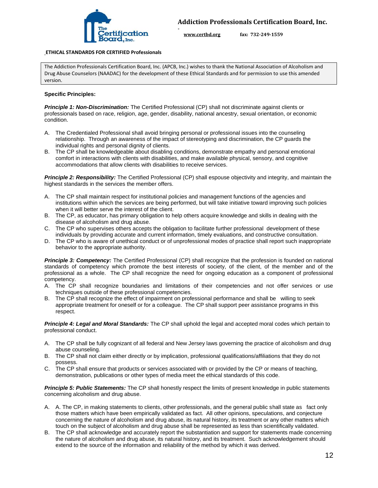

#### **ETHICAL STANDARDS FOR CERTIFIED Professionals**

The Addiction Professionals Certification Board, Inc. (APCB, Inc.) wishes to thank the National Association of Alcoholism and Drug Abuse Counselors (NAADAC) for the development of these Ethical Standards and for permission to use this amended version.

**-** 

#### **Specific Principles:**

*Principle 1: Non-Discrimination:* The Certified Professional (CP) shall not discriminate against clients or professionals based on race, religion, age, gender, disability, national ancestry, sexual orientation, or economic condition.

- A. The Credentialed Professional shall avoid bringing personal or professional issues into the counseling relationship. Through an awareness of the impact of stereotyping and discrimination, the CP guards the individual rights and personal dignity of clients.
- B. The CP shall be knowledgeable about disabling conditions, demonstrate empathy and personal emotional comfort in interactions with clients with disabilities, and make available physical, sensory, and cognitive accommodations that allow clients with disabilities to receive services.

*Principle 2: Responsibility:* The Certified Professional (CP) shall espouse objectivity and integrity, and maintain the highest standards in the services the member offers.

- A. The CP shall maintain respect for institutional policies and management functions of the agencies and institutions within which the services are being performed, but will take initiative toward improving such policies when it will better serve the interest of the client.
- B. The CP, as educator, has primary obligation to help others acquire knowledge and skills in dealing with the disease of alcoholism and drug abuse.
- C. The CP who supervises others accepts the obligation to facilitate further professional development of these individuals by providing accurate and current information, timely evaluations, and constructive consultation.
- D. The CP who is aware of unethical conduct or of unprofessional modes of practice shall report such inappropriate behavior to the appropriate authority.

**Principle 3: Competency:** The Certified Professional (CP) shall recognize that the profession is founded on national standards of competency which promote the best interests of society, of the client, of the member and of the professional as a whole. The CP shall recognize the need for ongoing education as a component of professional competency.

- A. The CP shall recognize boundaries and limitations of their competencies and not offer services or use techniques outside of these professional competencies.
- B. The CP shall recognize the effect of impairment on professional performance and shall be willing to seek appropriate treatment for oneself or for a colleague. The CP shall support peer assistance programs in this respect.

*Principle 4: Legal and Moral Standards:* The CP shall uphold the legal and accepted moral codes which pertain to professional conduct.

- A. The CP shall be fully cognizant of all federal and New Jersey laws governing the practice of alcoholism and drug abuse counseling.
- B. The CP shall not claim either directly or by implication, professional qualifications/affiliations that they do not possess.
- C. The CP shall ensure that products or services associated with or provided by the CP or means of teaching, demonstration, publications or other types of media meet the ethical standards of this code.

*Principle 5: Public Statements:* The CP shall honestly respect the limits of present knowledge in public statements concerning alcoholism and drug abuse.

- A. A. The CP, in making statements to clients, other professionals, and the general public shall state as fact only those matters which have been empirically validated as fact. All other opinions, speculations, and conjecture concerning the nature of alcoholism and drug abuse, its natural history, its treatment or any other matters which touch on the subject of alcoholism and drug abuse shall be represented as less than scientifically validated.
- B. The CP shall acknowledge and accurately report the substantiation and support for statements made concerning the nature of alcoholism and drug abuse, its natural history, and its treatment. Such acknowledgement should extend to the source of the information and reliability of the method by which it was derived.